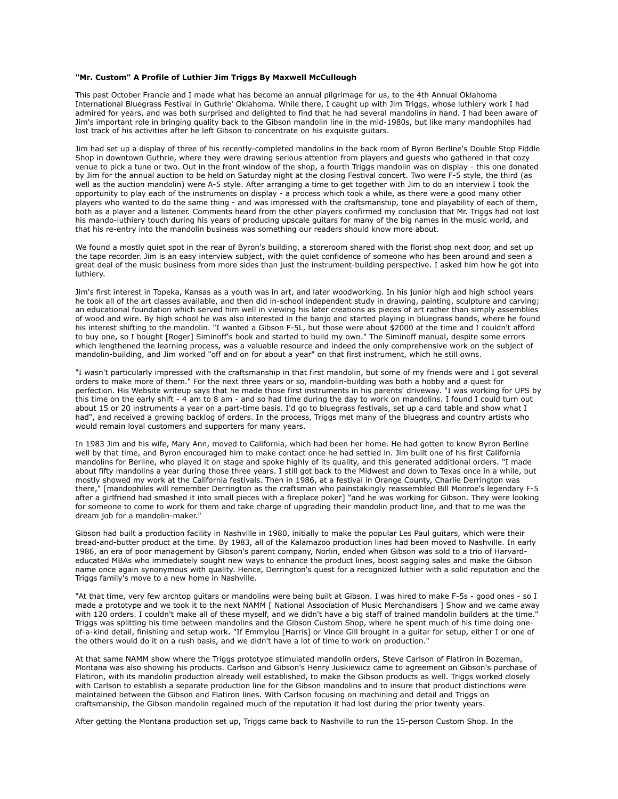## **"Mr. Custom" A Profile of Luthier Jim Triggs By Maxwell McCullough**

This past October Francie and I made what has become an annual pilgrimage for us, to the 4th Annual Oklahoma International Bluegrass Festival in Guthrie' Oklahoma. While there, I caught up with Jim Triggs, whose luthiery work I had admired for years, and was both surprised and delighted to find that he had several mandolins in hand. I had been aware of Jim's important role in bringing quality back to the Gibson mandolin line in the mid-1980s, but like many mandophiles had lost track of his activities after he left Gibson to concentrate on his exquisite guitars.

Jim had set up a display of three of his recently-completed mandolins in the back room of Byron Berline's Double Stop Fiddle Shop in downtown Guthrie, where they were drawing serious attention from players and guests who gathered in that cozy venue to pick a tune or two. Out in the front window of the shop, a fourth Triggs mandolin was on display - this one donated by Jim for the annual auction to be held on Saturday night at the closing Festival concert. Two were F-5 style, the third (as well as the auction mandolin) were A-5 style. After arranging a time to get together with Jim to do an interview I took the opportunity to play each of the instruments on display - a process which took a while, as there were a good many other players who wanted to do the same thing - and was impressed with the craftsmanship, tone and playability of each of them, both as a player and a listener. Comments heard from the other players confirmed my conclusion that Mr. Triggs had not lost his mando-luthiery touch during his years of producing upscale guitars for many of the big names in the music world, and that his re-entry into the mandolin business was something our readers should know more about.

We found a mostly quiet spot in the rear of Byron's building, a storeroom shared with the florist shop next door, and set up the tape recorder. Jim is an easy interview subject, with the quiet confidence of someone who has been around and seen a great deal of the music business from more sides than just the instrument-building perspective. I asked him how he got into luthiery.

Jim's first interest in Topeka, Kansas as a youth was in art, and later woodworking. In his junior high and high school years he took all of the art classes available, and then did in-school independent study in drawing, painting, sculpture and carving; an educational foundation which served him well in viewing his later creations as pieces of art rather than simply assemblies of wood and wire. By high school he was also interested in the banjo and started playing in bluegrass bands, where he found his interest shifting to the mandolin. "I wanted a Gibson F-5L, but those were about \$2000 at the time and I couldn't afford to buy one, so I bought [Roger] Siminoff's book and started to build my own." The Siminoff manual, despite some errors which lengthened the learning process, was a valuable resource and indeed the only comprehensive work on the subject of mandolin-building, and Jim worked "off and on for about a year" on that first instrument, which he still owns.

"I wasn't particularly impressed with the craftsmanship in that first mandolin, but some of my friends were and I got several orders to make more of them." For the next three years or so, mandolin-building was both a hobby and a quest for perfection. His Website writeup says that he made those first instruments in his parents' driveway. "I was working for UPS by this time on the early shift - 4 am to 8 am - and so had time during the day to work on mandolins. I found I could turn out about 15 or 20 instruments a year on a part-time basis. I'd go to bluegrass festivals, set up a card table and show what I had", and received a growing backlog of orders. In the process, Triggs met many of the bluegrass and country artists who would remain loyal customers and supporters for many years.

In 1983 Jim and his wife, Mary Ann, moved to California, which had been her home. He had gotten to know Byron Berline well by that time, and Byron encouraged him to make contact once he had settled in. Jim built one of his first California mandolins for Berline, who played it on stage and spoke highly of its quality, and this generated additional orders. "I made about fifty mandolins a year during those three years. I still got back to the Midwest and down to Texas once in a while, but mostly showed my work at the California festivals. Then in 1986, at a festival in Orange County, Charlie Derrington was there," [mandophiles will remember Derrington as the craftsman who painstakingly reassembled Bill Monroe's legendary F-5 after a girlfriend had smashed it into small pieces with a fireplace poker] "and he was working for Gibson. They were looking for someone to come to work for them and take charge of upgrading their mandolin product line, and that to me was the dream job for a mandolin-maker."

Gibson had built a production facility in Nashville in 1980, initially to make the popular Les Paul guitars, which were their bread-and-butter product at the time. By 1983, all of the Kalamazoo production lines had been moved to Nashville. In early 1986, an era of poor management by Gibson's parent company, Norlin, ended when Gibson was sold to a trio of Harvardeducated MBAs who immediately sought new ways to enhance the product lines, boost sagging sales and make the Gibson name once again synonymous with quality. Hence, Derrington's quest for a recognized luthier with a solid reputation and the Triggs family's move to a new home in Nashville.

"At that time, very few archtop guitars or mandolins were being built at Gibson. I was hired to make F-5s - good ones - so I made a prototype and we took it to the next NAMM [ National Association of Music Merchandisers ] Show and we came away with 120 orders. I couldn't make all of these myself, and we didn't have a big staff of trained mandolin builders at the time." Triggs was splitting his time between mandolins and the Gibson Custom Shop, where he spent much of his time doing oneof-a-kind detail, finishing and setup work. "If Emmylou [Harris] or Vince Gill brought in a guitar for setup, either I or one of the others would do it on a rush basis, and we didn't have a lot of time to work on production."

At that same NAMM show where the Triggs prototype stimulated mandolin orders, Steve Carlson of Flatiron in Bozeman, Montana was also showing his products. Carlson and Gibson's Henry Juskiewicz came to agreement on Gibson's purchase of Flatiron, with its mandolin production already well established, to make the Gibson products as well. Triggs worked closely with Carlson to establish a separate production line for the Gibson mandolins and to insure that product distinctions were maintained between the Gibson and Flatiron lines. With Carlson focusing on machining and detail and Triggs on craftsmanship, the Gibson mandolin regained much of the reputation it had lost during the prior twenty years.

After getting the Montana production set up, Triggs came back to Nashville to run the 15-person Custom Shop. In the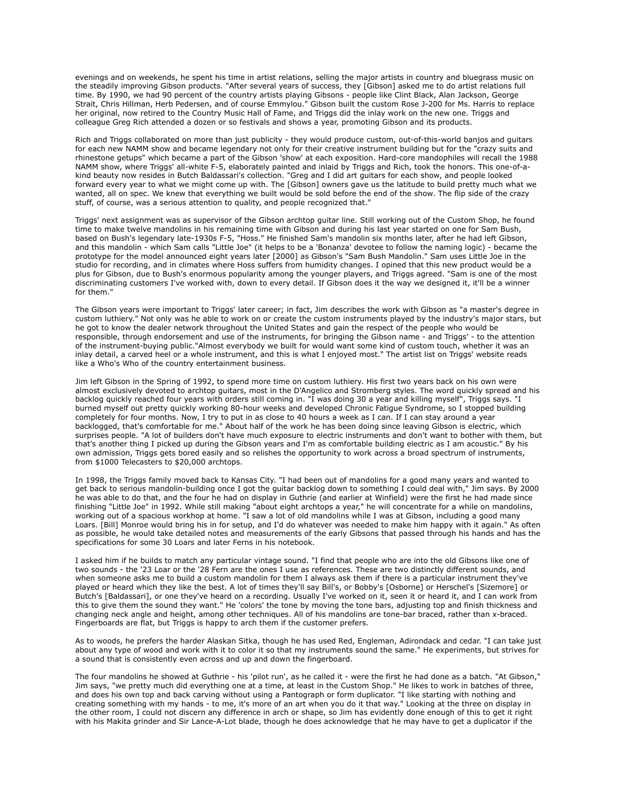evenings and on weekends, he spent his time in artist relations, selling the major artists in country and bluegrass music on the steadily improving Gibson products. "After several years of success, they [Gibson] asked me to do artist relations full time. By 1990, we had 90 percent of the country artists playing Gibsons - people like Clint Black, Alan Jackson, George Strait, Chris Hillman, Herb Pedersen, and of course Emmylou." Gibson built the custom Rose J-200 for Ms. Harris to replace her original, now retired to the Country Music Hall of Fame, and Triggs did the inlay work on the new one. Triggs and colleague Greg Rich attended a dozen or so festivals and shows a year, promoting Gibson and its products.

Rich and Triggs collaborated on more than just publicity - they would produce custom, out-of-this-world banjos and guitars for each new NAMM show and became legendary not only for their creative instrument building but for the "crazy suits and rhinestone getups" which became a part of the Gibson 'show' at each exposition. Hard-core mandophiles will recall the 1988 NAMM show, where Triggs' all-white F-5, elaborately painted and inlaid by Triggs and Rich, took the honors. This one-of-akind beauty now resides in Butch Baldassari's collection. "Greg and I did art guitars for each show, and people looked forward every year to what we might come up with. The [Gibson] owners gave us the latitude to build pretty much what we wanted, all on spec. We knew that everything we built would be sold before the end of the show. The flip side of the crazy stuff, of course, was a serious attention to quality, and people recognized that."

Triggs' next assignment was as supervisor of the Gibson archtop guitar line. Still working out of the Custom Shop, he found time to make twelve mandolins in his remaining time with Gibson and during his last year started on one for Sam Bush, based on Bush's legendary late-1930s F-5, "Hoss." He finished Sam's mandolin six months later, after he had left Gibson, and this mandolin - which Sam calls "Little Joe" (it helps to be a 'Bonanza' devotee to follow the naming logic) - became the prototype for the model announced eight years later [2000] as Gibson's "Sam Bush Mandolin." Sam uses Little Joe in the studio for recording, and in climates where Hoss suffers from humidity changes. I opined that this new product would be a plus for Gibson, due to Bush's enormous popularity among the younger players, and Triggs agreed. "Sam is one of the most discriminating customers I've worked with, down to every detail. If Gibson does it the way we designed it, it'll be a winner for them."

The Gibson years were important to Triggs' later career; in fact, Jim describes the work with Gibson as "a master's degree in custom luthiery." Not only was he able to work on or create the custom instruments played by the industry's major stars, but he got to know the dealer network throughout the United States and gain the respect of the people who would be responsible, through endorsement and use of the instruments, for bringing the Gibson name - and Triggs' - to the attention of the instrument-buying public."Almost everybody we built for would want some kind of custom touch, whether it was an inlay detail, a carved heel or a whole instrument, and this is what I enjoyed most." The artist list on Triggs' website reads like a Who's Who of the country entertainment business.

Jim left Gibson in the Spring of 1992, to spend more time on custom luthiery. His first two years back on his own were almost exclusively devoted to archtop guitars, most in the D'Angelico and Stromberg styles. The word quickly spread and his backlog quickly reached four years with orders still coming in. "I was doing 30 a year and killing myself", Triggs says. "I burned myself out pretty quickly working 80-hour weeks and developed Chronic Fatigue Syndrome, so I stopped building completely for four months. Now, I try to put in as close to 40 hours a week as I can. If I can stay around a year backlogged, that's comfortable for me." About half of the work he has been doing since leaving Gibson is electric, which surprises people. "A lot of builders don't have much exposure to electric instruments and don't want to bother with them, but that's another thing I picked up during the Gibson years and I'm as comfortable building electric as I am acoustic." By his own admission, Triggs gets bored easily and so relishes the opportunity to work across a broad spectrum of instruments, from \$1000 Telecasters to \$20,000 archtops.

In 1998, the Triggs family moved back to Kansas City. "I had been out of mandolins for a good many years and wanted to get back to serious mandolin-building once I got the guitar backlog down to something I could deal with," Jim says. By 2000 he was able to do that, and the four he had on display in Guthrie (and earlier at Winfield) were the first he had made since finishing "Little Joe" in 1992. While still making "about eight archtops a year," he will concentrate for a while on mandolins, working out of a spacious workhop at home. "I saw a lot of old mandolins while I was at Gibson, including a good many Loars. [Bill] Monroe would bring his in for setup, and I'd do whatever was needed to make him happy with it again." As often as possible, he would take detailed notes and measurements of the early Gibsons that passed through his hands and has the specifications for some 30 Loars and later Ferns in his notebook.

I asked him if he builds to match any particular vintage sound. "I find that people who are into the old Gibsons like one of two sounds - the '23 Loar or the '28 Fern are the ones I use as references. These are two distinctly different sounds, and when someone asks me to build a custom mandolin for them I always ask them if there is a particular instrument they've played or heard which they like the best. A lot of times they'll say Bill's, or Bobby's [Osborne] or Herschel's [Sizemore] or Butch's [Baldassari], or one they've heard on a recording. Usually I've worked on it, seen it or heard it, and I can work from this to give them the sound they want." He 'colors' the tone by moving the tone bars, adjusting top and finish thickness and changing neck angle and height, among other techniques. All of his mandolins are tone-bar braced, rather than x-braced. Fingerboards are flat, but Triggs is happy to arch them if the customer prefers.

As to woods, he prefers the harder Alaskan Sitka, though he has used Red, Engleman, Adirondack and cedar. "I can take just about any type of wood and work with it to color it so that my instruments sound the same." He experiments, but strives for a sound that is consistently even across and up and down the fingerboard.

The four mandolins he showed at Guthrie - his 'pilot run', as he called it - were the first he had done as a batch. "At Gibson," Jim says, "we pretty much did everything one at a time, at least in the Custom Shop." He likes to work in batches of three, and does his own top and back carving without using a Pantograph or form duplicator. "I like starting with nothing and creating something with my hands - to me, it's more of an art when you do it that way." Looking at the three on display in the other room, I could not discern any difference in arch or shape, so Jim has evidently done enough of this to get it right with his Makita grinder and Sir Lance-A-Lot blade, though he does acknowledge that he may have to get a duplicator if the